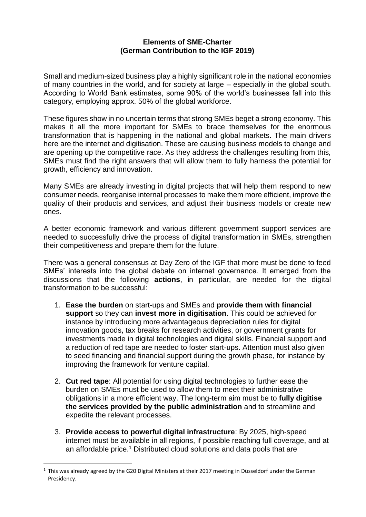## **Elements of SME-Charter (German Contribution to the IGF 2019)**

Small and medium-sized business play a highly significant role in the national economies of many countries in the world, and for society at large – especially in the global south. According to World Bank estimates, some 90% of the world's businesses fall into this category, employing approx. 50% of the global workforce.

These figures show in no uncertain terms that strong SMEs beget a strong economy. This makes it all the more important for SMEs to brace themselves for the enormous transformation that is happening in the national and global markets. The main drivers here are the internet and digitisation. These are causing business models to change and are opening up the competitive race. As they address the challenges resulting from this, SMEs must find the right answers that will allow them to fully harness the potential for growth, efficiency and innovation.

Many SMEs are already investing in digital projects that will help them respond to new consumer needs, reorganise internal processes to make them more efficient, improve the quality of their products and services, and adjust their business models or create new ones.

A better economic framework and various different government support services are needed to successfully drive the process of digital transformation in SMEs, strengthen their competitiveness and prepare them for the future.

There was a general consensus at Day Zero of the IGF that more must be done to feed SMEs' interests into the global debate on internet governance. It emerged from the discussions that the following **actions**, in particular, are needed for the digital transformation to be successful:

- 1. **Ease the burden** on start-ups and SMEs and **provide them with financial support** so they can **invest more in digitisation**. This could be achieved for instance by introducing more advantageous depreciation rules for digital innovation goods, tax breaks for research activities, or government grants for investments made in digital technologies and digital skills. Financial support and a reduction of red tape are needed to foster start-ups. Attention must also given to seed financing and financial support during the growth phase, for instance by improving the framework for venture capital.
- 2. **Cut red tape**: All potential for using digital technologies to further ease the burden on SMEs must be used to allow them to meet their administrative obligations in a more efficient way. The long-term aim must be to **fully digitise the services provided by the public administration** and to streamline and expedite the relevant processes.
- 3. **Provide access to powerful digital infrastructure**: By 2025, high-speed internet must be available in all regions, if possible reaching full coverage, and at an affordable price.<sup>1</sup> Distributed cloud solutions and data pools that are

 $\overline{a}$ 

<sup>&</sup>lt;sup>1</sup> This was already agreed by the G20 Digital Ministers at their 2017 meeting in Düsseldorf under the German Presidency.